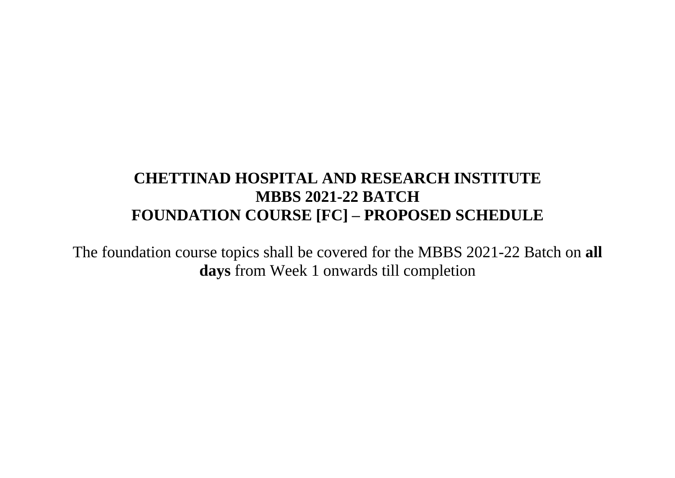# **CHETTINAD HOSPITAL AND RESEARCH INSTITUTE MBBS 2021-22 BATCH FOUNDATION COURSE [FC] – PROPOSED SCHEDULE**

The foundation course topics shall be covered for the MBBS 2021-22 Batch on **all days** from Week 1 onwards till completion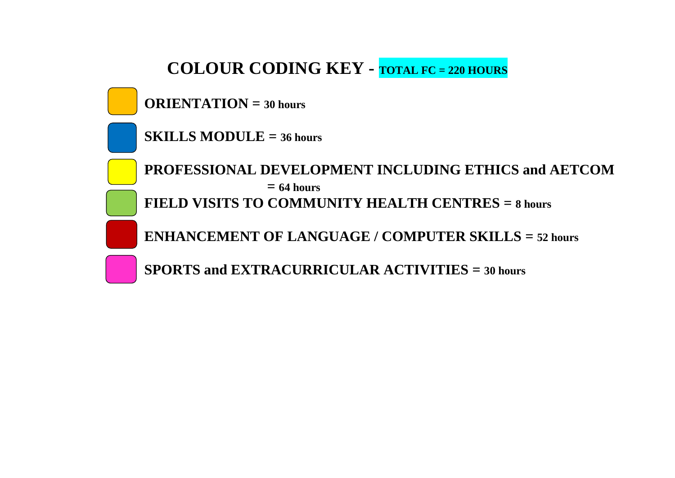# **COLOUR CODING KEY - TOTAL FC = 220 HOURS**

**ORIENTATION = 30 hours** 

**SKILLS MODULE**  $= 36$  hours

**PROFESSIONAL DEVELOPMENT INCLUDING ETHICS and AETCOM**  $= 64$  **hours FIELD VISITS TO COMMUNITY HEALTH CENTRES = 8 hours** 

**ENHANCEMENT OF LANGUAGE / COMPUTER SKILLS = 52 hours** 

**SPORTS and EXTRACURRICULAR ACTIVITIES = 30 hours**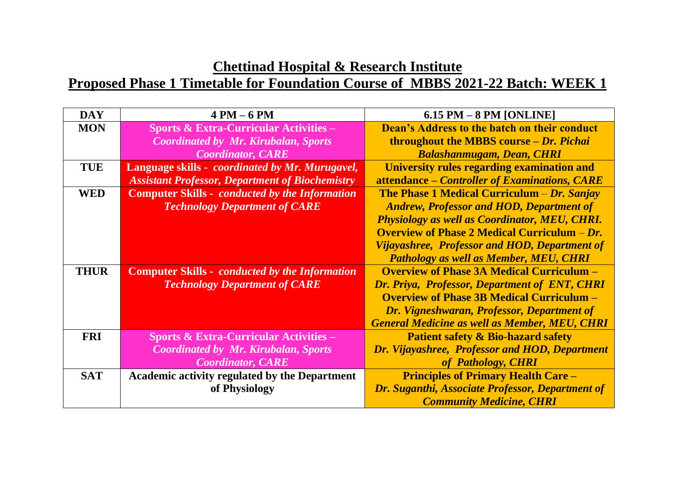| <b>DAY</b>  | $4 PM - 6 PM$                                          | $6.15$ PM $-8$ PM [ONLINE]                                      |
|-------------|--------------------------------------------------------|-----------------------------------------------------------------|
| <b>MON</b>  | <b>Sports &amp; Extra-Curricular Activities –</b>      | <b>Dean's Address to the batch on their conduct</b>             |
|             | <b>Coordinated by Mr. Kirubalan, Sports</b>            | <b>throughout the MBBS course – Dr. Pichai</b>                  |
|             | <b>Coordinator, CARE</b>                               | <b>Balashanmugam, Dean, CHRI</b>                                |
| <b>TUE</b>  | Language skills - coordinated by Mr. Murugavel,        | University rules regarding examination and                      |
|             | <b>Assistant Professor, Department of Biochemistry</b> | attendance – Controller of Examinations, CARE                   |
| <b>WED</b>  | <b>Computer Skills - conducted by the Information</b>  | <b>The Phase 1 Medical Curriculum – Dr. Sanjay</b>              |
|             | <b>Technology Department of CARE</b>                   | <b>Andrew, Professor and HOD, Department of</b>                 |
|             |                                                        | <b>Physiology as well as Coordinator, MEU, CHRI.</b>            |
|             |                                                        | <b>Overview of Phase 2 Medical Curriculum <math>-Dr</math>.</b> |
|             |                                                        | Vijayashree, Professor and HOD, Department of                   |
|             |                                                        | Pathology as well as Member, MEU, CHRI                          |
| <b>THUR</b> | <b>Computer Skills - conducted by the Information</b>  | <b>Overview of Phase 3A Medical Curriculum –</b>                |
|             | <b>Technology Department of CARE</b>                   | Dr. Priya, Professor, Department of ENT, CHRI                   |
|             |                                                        | <b>Overview of Phase 3B Medical Curriculum -</b>                |
|             |                                                        | Dr. Vigneshwaran, Professor, Department of                      |
|             |                                                        | <b>General Medicine as well as Member, MEU, CHRI</b>            |
| <b>FRI</b>  | <b>Sports &amp; Extra-Curricular Activities –</b>      | <b>Patient safety &amp; Bio-hazard safety</b>                   |
|             | <b>Coordinated by Mr. Kirubalan, Sports</b>            | Dr. Vijayashree, Professor and HOD, Department                  |
|             | <b>Coordinator, CARE</b>                               | of Pathology, CHRI                                              |
| <b>SAT</b>  | <b>Academic activity regulated by the Department</b>   | <b>Principles of Primary Health Care -</b>                      |
|             | of Physiology                                          | Dr. Suganthi, Associate Professor, Department of                |
|             |                                                        | <b>Community Medicine, CHRI</b>                                 |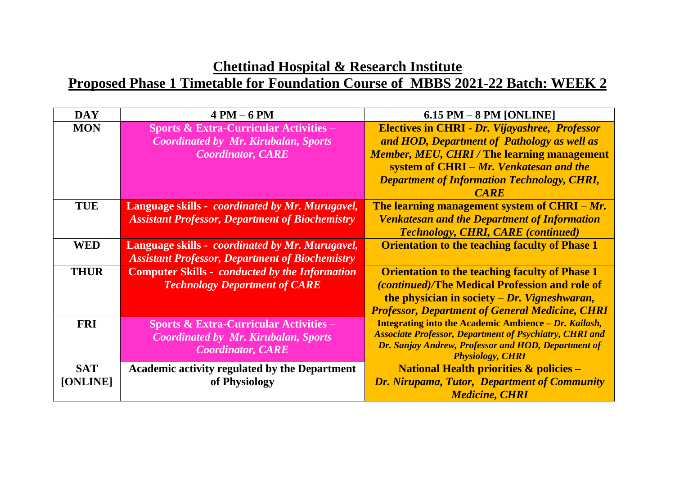| <b>DAY</b>  | $4 PM - 6 PM$                                           | $6.15$ PM $-8$ PM [ONLINE]                                                     |
|-------------|---------------------------------------------------------|--------------------------------------------------------------------------------|
| <b>MON</b>  | <b>Sports &amp; Extra-Curricular Activities –</b>       | <b>Electives in CHRI - Dr. Vijayashree, Professor</b>                          |
|             | <b>Coordinated by Mr. Kirubalan, Sports</b>             | and HOD, Department of Pathology as well as                                    |
|             | <b>Coordinator, CARE</b>                                | <b>Member, MEU, CHRI/The learning management</b>                               |
|             |                                                         | system of CHRI – Mr. Venkatesan and the                                        |
|             |                                                         | <b>Department of Information Technology, CHRI,</b>                             |
|             |                                                         | <b>CARE</b>                                                                    |
| <b>TUE</b>  | Language skills - <i>coordinated by Mr. Murugavel</i> , | The learning management system of CHRI – Mr.                                   |
|             | <b>Assistant Professor, Department of Biochemistry</b>  | <b>Venkatesan and the Department of Information</b>                            |
|             |                                                         | <b>Technology, CHRI, CARE (continued)</b>                                      |
| <b>WED</b>  | Language skills - <i>coordinated by Mr. Murugavel</i> , | <b>Orientation to the teaching faculty of Phase 1</b>                          |
|             | <b>Assistant Professor, Department of Biochemistry</b>  |                                                                                |
| <b>THUR</b> | <b>Computer Skills - conducted by the Information</b>   | <b>Orientation to the teaching faculty of Phase 1</b>                          |
|             | <b>Technology Department of CARE</b>                    | <i>(continued)</i> /The Medical Profession and role of                         |
|             |                                                         | the physician in society $-Dr$ . Vigneshwaran,                                 |
|             |                                                         | <b>Professor, Department of General Medicine, CHRI</b>                         |
| <b>FRI</b>  | <b>Sports &amp; Extra-Curricular Activities –</b>       | Integrating into the Academic Ambience – Dr. Kailash,                          |
|             | <b>Coordinated by Mr. Kirubalan, Sports</b>             | <b>Associate Professor, Department of Psychiatry, CHRI and</b>                 |
|             | <b>Coordinator, CARE</b>                                | Dr. Sanjay Andrew, Professor and HOD, Department of<br><b>Physiology, CHRI</b> |
| <b>SAT</b>  | <b>Academic activity regulated by the Department</b>    | <b>National Health priorities <math>\&amp;</math> policies –</b>               |
| [ONLINE]    | of Physiology                                           | <b>Dr. Nirupama, Tutor, Department of Community</b>                            |
|             |                                                         | <b>Medicine, CHRI</b>                                                          |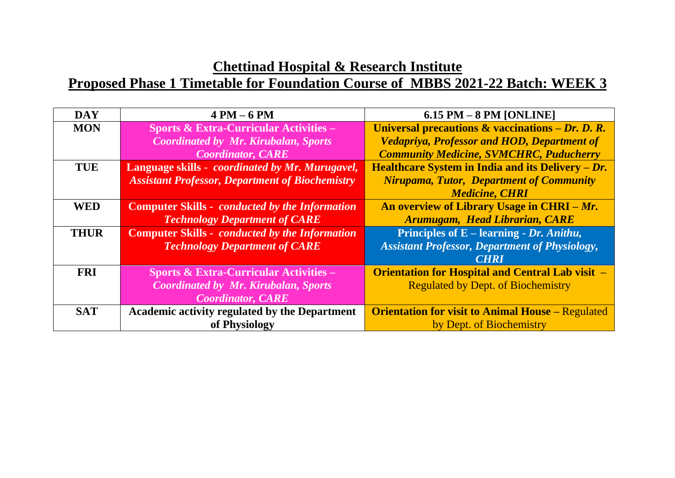| <b>DAY</b>  | $4 PM - 6 PM$                                           | $6.15$ PM $-8$ PM [ONLINE]                               |
|-------------|---------------------------------------------------------|----------------------------------------------------------|
| <b>MON</b>  | <b>Sports &amp; Extra-Curricular Activities –</b>       | Universal precautions $\&$ vaccinations - Dr. D. R.      |
|             | <b>Coordinated by Mr. Kirubalan, Sports</b>             | <b>Vedapriya, Professor and HOD, Department of</b>       |
|             | <b>Coordinator, CARE</b>                                | <b>Community Medicine, SVMCHRC, Puducherry</b>           |
| <b>TUE</b>  | Language skills - <i>coordinated by Mr. Murugavel</i> , | Healthcare System in India and its Delivery $-Dr$ .      |
|             | <b>Assistant Professor, Department of Biochemistry</b>  | <b>Nirupama, Tutor, Department of Community</b>          |
|             |                                                         | <b>Medicine, CHRI</b>                                    |
| <b>WED</b>  | <b>Computer Skills - conducted by the Information</b>   | An overview of Library Usage in CHRI – Mr.               |
|             | <b>Technology Department of CARE</b>                    | Arumugam, Head Librarian, CARE                           |
| <b>THUR</b> | <b>Computer Skills - conducted by the Information</b>   | Principles of $E$ – learning - Dr. Anithu,               |
|             | <b>Technology Department of CARE</b>                    | <b>Assistant Professor, Department of Physiology,</b>    |
|             |                                                         | <b>CHRI</b>                                              |
| <b>FRI</b>  | <b>Sports &amp; Extra-Curricular Activities –</b>       | <b>Orientation for Hospital and Central Lab visit -</b>  |
|             | <b>Coordinated by Mr. Kirubalan, Sports</b>             | <b>Regulated by Dept. of Biochemistry</b>                |
|             | <b>Coordinator, CARE</b>                                |                                                          |
| <b>SAT</b>  | <b>Academic activity regulated by the Department</b>    | <b>Orientation for visit to Animal House - Regulated</b> |
|             | of Physiology                                           | by Dept. of Biochemistry                                 |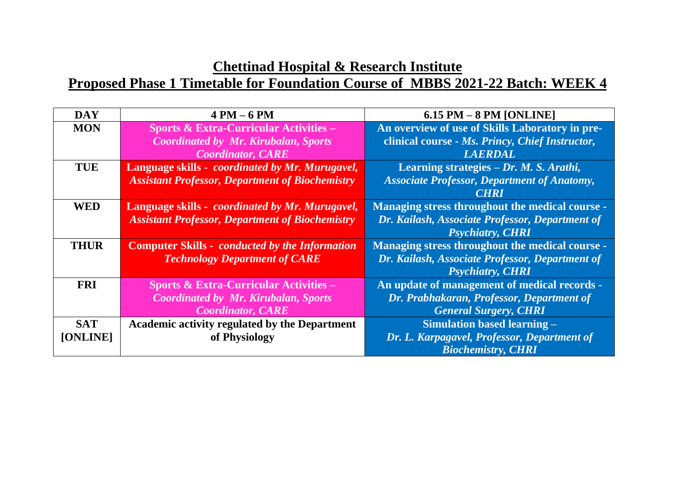| <b>DAY</b>  | $4 PM - 6 PM$                                           | $6.15$ PM $-8$ PM [ONLINE]                         |
|-------------|---------------------------------------------------------|----------------------------------------------------|
| <b>MON</b>  | <b>Sports &amp; Extra-Curricular Activities -</b>       | An overview of use of Skills Laboratory in pre-    |
|             | <b>Coordinated by Mr. Kirubalan, Sports</b>             | clinical course - Ms. Princy, Chief Instructor,    |
|             | <b>Coordinator, CARE</b>                                | <b>LAERDAL</b>                                     |
| <b>TUE</b>  | Language skills - coordinated by Mr. Murugavel,         | Learning strategies $-Dr$ . <i>M. S. Arathi</i> ,  |
|             | <b>Assistant Professor, Department of Biochemistry</b>  | <b>Associate Professor, Department of Anatomy,</b> |
|             |                                                         | <b>CHRI</b>                                        |
| <b>WED</b>  | Language skills - <i>coordinated by Mr. Murugavel</i> , | Managing stress throughout the medical course -    |
|             | <b>Assistant Professor, Department of Biochemistry</b>  | Dr. Kailash, Associate Professor, Department of    |
|             |                                                         | <b>Psychiatry, CHRI</b>                            |
| <b>THUR</b> | <b>Computer Skills - conducted by the Information</b>   | Managing stress throughout the medical course -    |
|             | <b>Technology Department of CARE</b>                    | Dr. Kailash, Associate Professor, Department of    |
|             |                                                         | <b>Psychiatry, CHRI</b>                            |
| <b>FRI</b>  | <b>Sports &amp; Extra-Curricular Activities –</b>       | An update of management of medical records -       |
|             | <b>Coordinated by Mr. Kirubalan, Sports</b>             | Dr. Prabhakaran, Professor, Department of          |
|             | <b>Coordinator, CARE</b>                                | <b>General Surgery, CHRI</b>                       |
| <b>SAT</b>  | <b>Academic activity regulated by the Department</b>    | <b>Simulation based learning -</b>                 |
| [ONLINE]    | of Physiology                                           | Dr. L. Karpagavel, Professor, Department of        |
|             |                                                         | <b>Biochemistry, CHRI</b>                          |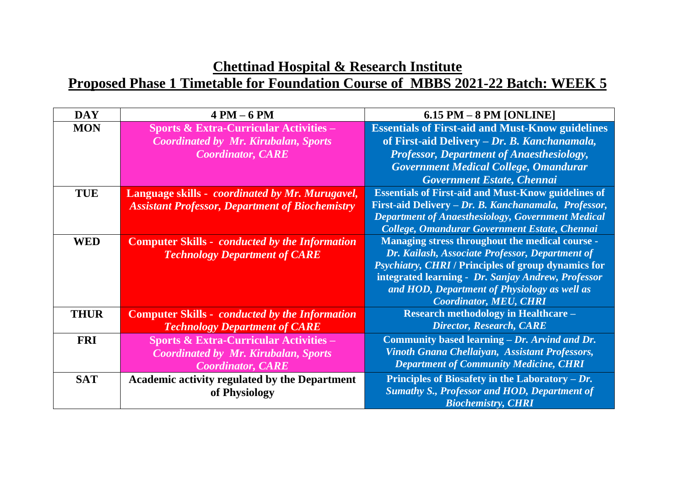| <b>DAY</b>  | $4 PM - 6 PM$                                           | $6.15$ PM $-8$ PM [ONLINE]                                 |
|-------------|---------------------------------------------------------|------------------------------------------------------------|
| <b>MON</b>  | <b>Sports &amp; Extra-Curricular Activities –</b>       | <b>Essentials of First-aid and Must-Know guidelines</b>    |
|             | <b>Coordinated by Mr. Kirubalan, Sports</b>             | of First-aid Delivery - Dr. B. Kanchanamala,               |
|             | <b>Coordinator, CARE</b>                                | <b>Professor, Department of Anaesthesiology,</b>           |
|             |                                                         | <b>Government Medical College, Omandurar</b>               |
|             |                                                         | Government Estate, Chennai                                 |
| <b>TUE</b>  | Language skills - <i>coordinated by Mr. Murugavel</i> , | <b>Essentials of First-aid and Must-Know guidelines of</b> |
|             | <b>Assistant Professor, Department of Biochemistry</b>  | First-aid Delivery - Dr. B. Kanchanamala, Professor,       |
|             |                                                         | <b>Department of Anaesthesiology, Government Medical</b>   |
|             |                                                         | College, Omandurar Government Estate, Chennai              |
| <b>WED</b>  | <b>Computer Skills - conducted by the Information</b>   | Managing stress throughout the medical course -            |
|             | <b>Technology Department of CARE</b>                    | Dr. Kailash, Associate Professor, Department of            |
|             |                                                         | <b>Psychiatry, CHRI / Principles of group dynamics for</b> |
|             |                                                         | integrated learning - Dr. Sanjay Andrew, Professor         |
|             |                                                         | and HOD, Department of Physiology as well as               |
|             |                                                         | <b>Coordinator, MEU, CHRI</b>                              |
| <b>THUR</b> | <b>Computer Skills - conducted by the Information</b>   | <b>Research methodology in Healthcare -</b>                |
|             | <b>Technology Department of CARE</b>                    | <b>Director, Research, CARE</b>                            |
| <b>FRI</b>  | <b>Sports &amp; Extra-Curricular Activities -</b>       | Community based learning – Dr. Arvind and Dr.              |
|             | <b>Coordinated by Mr. Kirubalan, Sports</b>             | Vinoth Gnana Chellaiyan, Assistant Professors,             |
|             | <b>Coordinator, CARE</b>                                | <b>Department of Community Medicine, CHRI</b>              |
| <b>SAT</b>  | <b>Academic activity regulated by the Department</b>    | Principles of Biosafety in the Laboratory $-Dr$ .          |
|             | of Physiology                                           | <b>Sumathy S., Professor and HOD, Department of</b>        |
|             |                                                         | <b>Biochemistry, CHRI</b>                                  |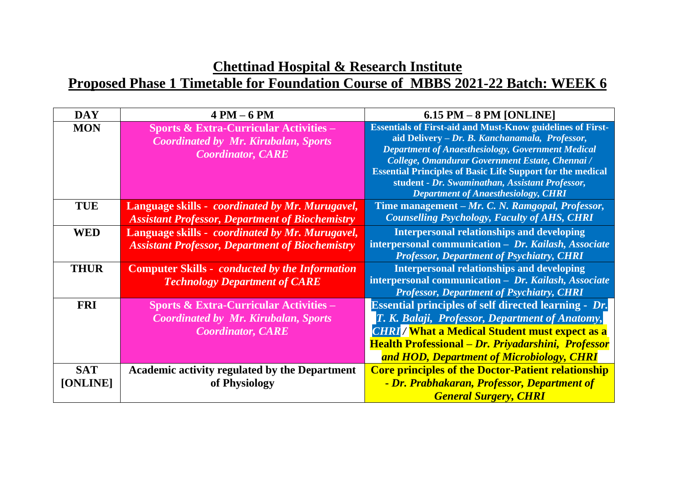#### **Chettinad Hospital & Research Institute Proposed Phase 1 Timetable for Foundation Course of MBBS 2021-22 Batch: WEEK 6**

| <b>DAY</b>             | $4 PM - 6 PM$                                                                                                                | $6.15$ PM $-8$ PM [ONLINE]                                                                                                                                                                                                                                                                                                                                                                               |
|------------------------|------------------------------------------------------------------------------------------------------------------------------|----------------------------------------------------------------------------------------------------------------------------------------------------------------------------------------------------------------------------------------------------------------------------------------------------------------------------------------------------------------------------------------------------------|
| <b>MON</b>             | <b>Sports &amp; Extra-Curricular Activities –</b><br><b>Coordinated by Mr. Kirubalan, Sports</b><br><b>Coordinator, CARE</b> | <b>Essentials of First-aid and Must-Know guidelines of First-</b><br>aid Delivery - Dr. B. Kanchanamala, Professor,<br><b>Department of Anaesthesiology, Government Medical</b><br>College, Omandurar Government Estate, Chennai /<br><b>Essential Principles of Basic Life Support for the medical</b><br>student - Dr. Swaminathan, Assistant Professor,<br><b>Department of Anaesthesiology, CHRI</b> |
| <b>TUE</b>             | Language skills - <i>coordinated by Mr. Murugavel</i> ,<br><b>Assistant Professor, Department of Biochemistry</b>            | Time management – Mr. C. N. Ramgopal, Professor,<br><b>Counselling Psychology, Faculty of AHS, CHRI</b>                                                                                                                                                                                                                                                                                                  |
| <b>WED</b>             | Language skills - <i>coordinated by Mr. Murugavel</i> ,<br><b>Assistant Professor, Department of Biochemistry</b>            | <b>Interpersonal relationships and developing</b><br>interpersonal communication - Dr. Kailash, Associate<br><b>Professor, Department of Psychiatry, CHRI</b>                                                                                                                                                                                                                                            |
| <b>THUR</b>            | <b>Computer Skills - conducted by the Information</b><br><b>Technology Department of CARE</b>                                | <b>Interpersonal relationships and developing</b><br>interpersonal communication - Dr. Kailash, Associate<br><b>Professor, Department of Psychiatry, CHRI</b>                                                                                                                                                                                                                                            |
| <b>FRI</b>             | <b>Sports &amp; Extra-Curricular Activities –</b><br><b>Coordinated by Mr. Kirubalan, Sports</b><br><b>Coordinator, CARE</b> | <b>Essential principles of self directed learning - Dr.</b><br>T. K. Balaji, Professor, Department of Anatomy,<br><b>CHRI</b> / What a Medical Student must expect as a<br>Health Professional - Dr. Priyadarshini, Professor<br>and HOD, Department of Microbiology, CHRI                                                                                                                               |
| <b>SAT</b><br>[ONLINE] | <b>Academic activity regulated by the Department</b><br>of Physiology                                                        | <b>Core principles of the Doctor-Patient relationship</b><br>- Dr. Prabhakaran, Professor, Department of<br><b>General Surgery, CHRI</b>                                                                                                                                                                                                                                                                 |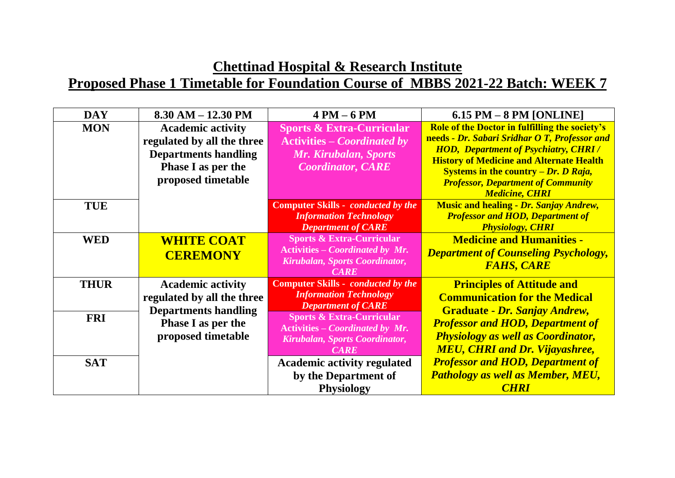| <b>DAY</b>  | $8.30$ AM $- 12.30$ PM                                                                                                            | $4 PM - 6 PM$                                                                                                                   | $6.15$ PM $-8$ PM [ONLINE]                                                                                                                                                                                                                                                                                               |
|-------------|-----------------------------------------------------------------------------------------------------------------------------------|---------------------------------------------------------------------------------------------------------------------------------|--------------------------------------------------------------------------------------------------------------------------------------------------------------------------------------------------------------------------------------------------------------------------------------------------------------------------|
| <b>MON</b>  | <b>Academic activity</b><br>regulated by all the three<br><b>Departments handling</b><br>Phase I as per the<br>proposed timetable | <b>Sports &amp; Extra-Curricular</b><br><b>Activities – Coordinated by</b><br>Mr. Kirubalan, Sports<br><b>Coordinator, CARE</b> | <b>Role of the Doctor in fulfilling the society's</b><br>needs - Dr. Sabari Sridhar O T, Professor and<br><b>HOD, Department of Psychiatry, CHRI/</b><br><b>History of Medicine and Alternate Health</b><br>Systems in the country $-Dr$ . D Raja,<br><b>Professor, Department of Community</b><br><b>Medicine, CHRI</b> |
| <b>TUE</b>  |                                                                                                                                   | <b>Computer Skills - conducted by the</b><br><b>Information Technology</b><br><b>Department of CARE</b>                         | <b>Music and healing - Dr. Sanjay Andrew,</b><br><b>Professor and HOD, Department of</b><br><b>Physiology, CHRI</b>                                                                                                                                                                                                      |
| <b>WED</b>  | <b>WHITE COAT</b><br><b>CEREMONY</b>                                                                                              | <b>Sports &amp; Extra-Curricular</b><br><b>Activities – Coordinated by Mr.</b><br>Kirubalan, Sports Coordinator,<br><b>CARE</b> | <b>Medicine and Humanities -</b><br><b>Department of Counseling Psychology,</b><br><b>FAHS, CARE</b>                                                                                                                                                                                                                     |
| <b>THUR</b> | <b>Academic activity</b><br>regulated by all the three<br><b>Departments handling</b>                                             | <b>Computer Skills - conducted by the</b><br><b>Information Technology</b><br><b>Department of CARE</b>                         | <b>Principles of Attitude and</b><br><b>Communication for the Medical</b><br><b>Graduate - Dr. Sanjay Andrew,</b>                                                                                                                                                                                                        |
| <b>FRI</b>  | <b>Phase I as per the</b><br>proposed timetable                                                                                   | <b>Sports &amp; Extra-Curricular</b><br><b>Activities - Coordinated by Mr.</b><br>Kirubalan, Sports Coordinator,<br><b>CARE</b> | <b>Professor and HOD, Department of</b><br><b>Physiology as well as Coordinator,</b><br><b>MEU, CHRI and Dr. Vijayashree,</b>                                                                                                                                                                                            |
| <b>SAT</b>  |                                                                                                                                   | <b>Academic activity regulated</b><br>by the Department of<br><b>Physiology</b>                                                 | <b>Professor and HOD, Department of</b><br><b>Pathology as well as Member, MEU,</b><br><b>CHRI</b>                                                                                                                                                                                                                       |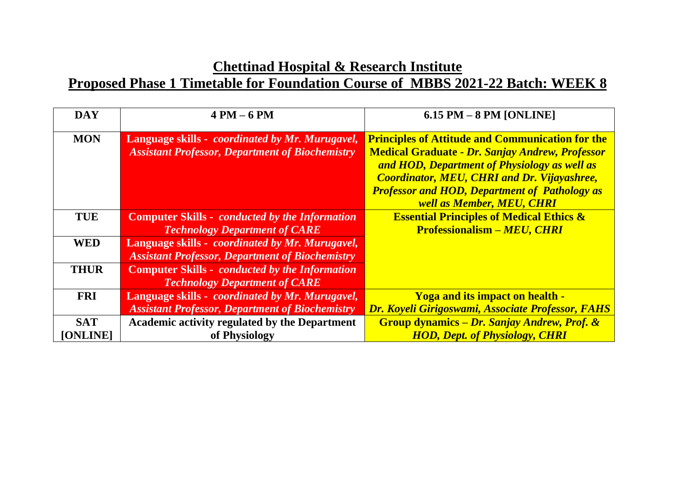| <b>DAY</b>      | $4 PM - 6 PM$                                                                                                     | $6.15$ PM $-8$ PM [ONLINE]                                                                                                                                                                                                                                                                                          |
|-----------------|-------------------------------------------------------------------------------------------------------------------|---------------------------------------------------------------------------------------------------------------------------------------------------------------------------------------------------------------------------------------------------------------------------------------------------------------------|
| <b>MON</b>      | Language skills - <i>coordinated by Mr. Murugavel</i> ,<br><b>Assistant Professor, Department of Biochemistry</b> | <b>Principles of Attitude and Communication for the</b><br><b>Medical Graduate - Dr. Sanjay Andrew, Professor</b><br>and HOD, Department of Physiology as well as<br><b>Coordinator, MEU, CHRI and Dr. Vijayashree,</b><br><b>Professor and HOD, Department of Pathology as</b><br><b>well as Member, MEU, CHRI</b> |
| <b>TUE</b>      | <b>Computer Skills - conducted by the Information</b>                                                             | <b>Essential Principles of Medical Ethics &amp;</b>                                                                                                                                                                                                                                                                 |
|                 | <b>Technology Department of CARE</b>                                                                              | <b>Professionalism - MEU, CHRI</b>                                                                                                                                                                                                                                                                                  |
| <b>WED</b>      | Language skills - <i>coordinated by Mr. Murugavel</i> ,                                                           |                                                                                                                                                                                                                                                                                                                     |
|                 | <b>Assistant Professor, Department of Biochemistry</b>                                                            |                                                                                                                                                                                                                                                                                                                     |
| <b>THUR</b>     | <b>Computer Skills - conducted by the Information</b>                                                             |                                                                                                                                                                                                                                                                                                                     |
|                 | <b>Technology Department of CARE</b>                                                                              |                                                                                                                                                                                                                                                                                                                     |
| <b>FRI</b>      | Language skills - <i>coordinated by Mr. Murugavel</i> ,                                                           | <b>Yoga and its impact on health -</b>                                                                                                                                                                                                                                                                              |
|                 | <b>Assistant Professor, Department of Biochemistry</b>                                                            | Dr. Koyeli Girigoswami, Associate Professor, FAHS                                                                                                                                                                                                                                                                   |
| <b>SAT</b>      | <b>Academic activity regulated by the Department</b>                                                              | Group dynamics – Dr. Sanjay Andrew, Prof. &                                                                                                                                                                                                                                                                         |
| <b>[ONLINE]</b> | of Physiology                                                                                                     | <b>HOD, Dept. of Physiology, CHRI</b>                                                                                                                                                                                                                                                                               |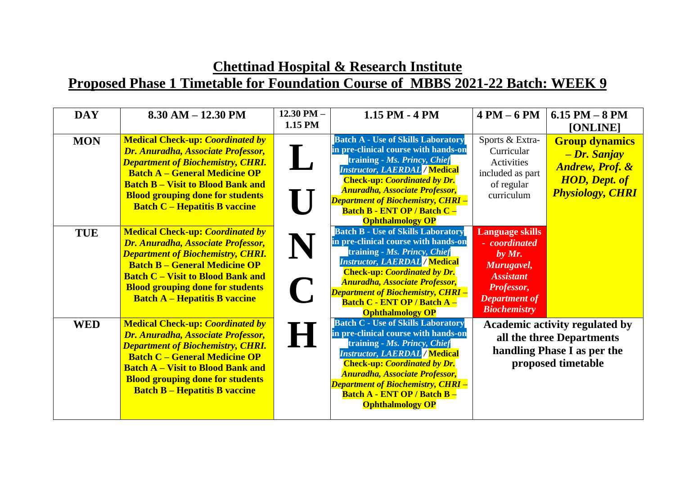#### **Chettinad Hospital & Research Institute Proposed Phase 1 Timetable for Foundation Course of MBBS 2021-22 Batch: WEEK 9**

| <b>DAY</b> | $8.30$ AM $- 12.30$ PM                                                                                                                                                                                                                                                                           | 12.30 PM $-$<br>1.15 PM | 1.15 PM - 4 PM                                                                                                                                                                                                                                                                                                                                           | $4 PM - 6 PM$                                                                                                                                      | $6.15$ PM $-8$ PM<br>[ONLINE]                                                                                           |
|------------|--------------------------------------------------------------------------------------------------------------------------------------------------------------------------------------------------------------------------------------------------------------------------------------------------|-------------------------|----------------------------------------------------------------------------------------------------------------------------------------------------------------------------------------------------------------------------------------------------------------------------------------------------------------------------------------------------------|----------------------------------------------------------------------------------------------------------------------------------------------------|-------------------------------------------------------------------------------------------------------------------------|
| <b>MON</b> | <b>Medical Check-up: Coordinated by</b><br>Dr. Anuradha, Associate Professor,<br><b>Department of Biochemistry, CHRI.</b><br><b>Batch A – General Medicine OP</b><br><b>Batch B – Visit to Blood Bank and</b><br><b>Blood grouping done for students</b><br><b>Batch C – Hepatitis B vaccine</b> |                         | <b>Batch A - Use of Skills Laboratory</b><br>in pre-clinical course with hands-on<br>training - Ms. Princy, Chief<br><b>Instructor, LAERDAL / Medical</b><br><b>Check-up: Coordinated by Dr.</b><br><b>Anuradha, Associate Professor,</b><br><b>Department of Biochemistry, CHRI -</b><br><b>Batch B - ENT OP / Batch C -</b><br><b>Ophthalmology OP</b> | Sports & Extra-<br>Curricular<br>Activities<br>included as part<br>of regular<br>curriculum                                                        | <b>Group dynamics</b><br>- Dr. Sanjay<br><b>Andrew</b> , Prof. &<br><b>HOD</b> , Dept. of<br><b>Physiology, CHRI</b>    |
| <b>TUE</b> | <b>Medical Check-up: Coordinated by</b><br>Dr. Anuradha, Associate Professor,<br><b>Department of Biochemistry, CHRI.</b><br><b>Batch B – General Medicine OP</b><br><b>Batch C - Visit to Blood Bank and</b><br><b>Blood grouping done for students</b><br><b>Batch A – Hepatitis B vaccine</b> | N<br>$\blacksquare$     | <b>Batch B - Use of Skills Laboratory</b><br>in pre-clinical course with hands-on<br>training - Ms. Princy, Chief<br><b>Instructor, LAERDAL / Medical</b><br><b>Check-up: Coordinated by Dr.</b><br><b>Anuradha, Associate Professor,</b><br><b>Department of Biochemistry, CHRI -</b><br><b>Batch C - ENT OP / Batch A -</b><br><b>Ophthalmology OP</b> | <b>Language skills</b><br>- coordinated<br>by $Mr.$<br>Murugavel,<br><b>Assistant</b><br>Professor,<br><b>Department of</b><br><b>Biochemistry</b> |                                                                                                                         |
| <b>WED</b> | <b>Medical Check-up: Coordinated by</b><br>Dr. Anuradha, Associate Professor,<br><b>Department of Biochemistry, CHRI.</b><br><b>Batch C - General Medicine OP</b><br><b>Batch A – Visit to Blood Bank and</b><br><b>Blood grouping done for students</b><br><b>Batch B – Hepatitis B vaccine</b> | $\theta$                | <b>Batch C - Use of Skills Laboratory</b><br>in pre-clinical course with hands-on<br>training - Ms. Princy, Chief<br><b>Instructor, LAERDAL / Medical</b><br><b>Check-up: Coordinated by Dr.</b><br><b>Anuradha, Associate Professor,</b><br><b>Department of Biochemistry, CHRI -</b><br><b>Batch A - ENT OP / Batch B -</b><br><b>Ophthalmology OP</b> |                                                                                                                                                    | <b>Academic activity regulated by</b><br>all the three Departments<br>handling Phase I as per the<br>proposed timetable |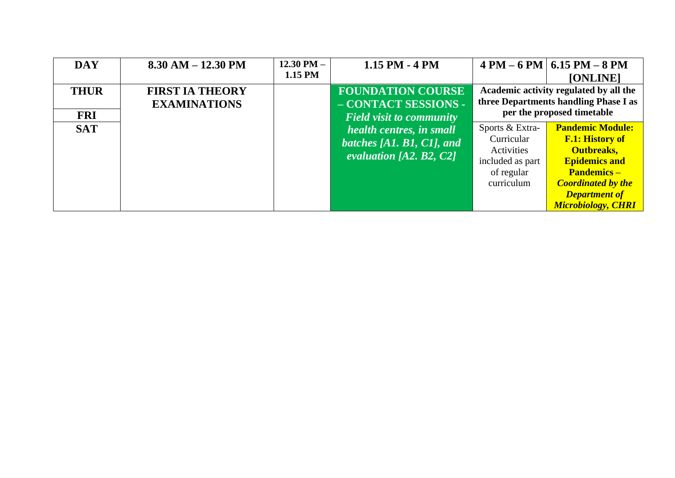| <b>DAY</b>                | $8.30$ AM $- 12.30$ PM                        | 12.30 PM $-$<br>1.15 PM | $1.15$ PM $-4$ PM                                                                   |                                                                                             | $4 PM - 6 PM$ 6.15 PM $- 8 PM$<br>[ONLINE]                                                                                                                                                             |
|---------------------------|-----------------------------------------------|-------------------------|-------------------------------------------------------------------------------------|---------------------------------------------------------------------------------------------|--------------------------------------------------------------------------------------------------------------------------------------------------------------------------------------------------------|
| <b>THUR</b><br><b>FRI</b> | <b>FIRST IA THEORY</b><br><b>EXAMINATIONS</b> |                         | <b>FOUNDATION COURSE</b><br>- CONTACT SESSIONS -<br><b>Field visit to community</b> |                                                                                             | Academic activity regulated by all the<br>three Departments handling Phase I as<br>per the proposed timetable                                                                                          |
| <b>SAT</b>                |                                               |                         | health centres, in small<br>batches [A1, B1, C1], and<br>evaluation [A2, B2, $C2$ ] | Sports & Extra-<br>Curricular<br>Activities<br>included as part<br>of regular<br>curriculum | <b>Pandemic Module:</b><br><b>F.1: History of</b><br><b>Outbreaks,</b><br><b>Epidemics and</b><br><b>Pandemics –</b><br><b>Coordinated by the</b><br><b>Department of</b><br><b>Microbiology, CHRI</b> |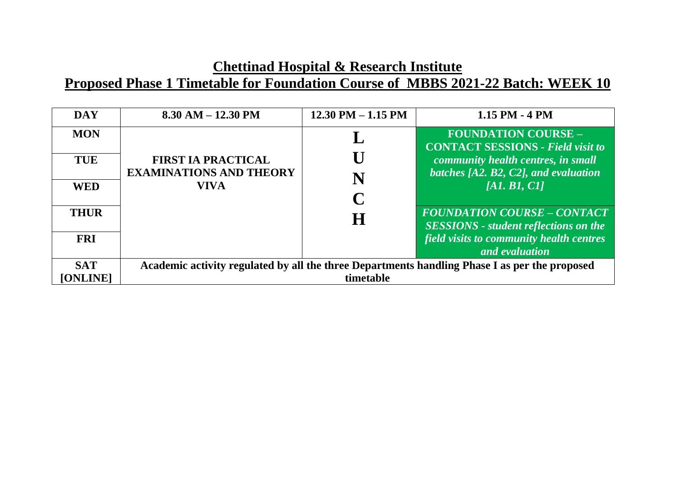| <b>DAY</b>               | $8.30$ AM $- 12.30$ PM                                                                        | $12.30$ PM $- 1.15$ PM | $1.15$ PM $-4$ PM                                                                                            |
|--------------------------|-----------------------------------------------------------------------------------------------|------------------------|--------------------------------------------------------------------------------------------------------------|
| <b>MON</b><br><b>TUE</b> | <b>FIRST IA PRACTICAL</b>                                                                     |                        | <b>FOUNDATION COURSE -</b><br><b>CONTACT SESSIONS - Field visit to</b><br>community health centres, in small |
| <b>WED</b>               | <b>EXAMINATIONS AND THEORY</b><br><b>VIVA</b>                                                 |                        | batches $[A2, B2, C2]$ , and evaluation<br>[AI, BI, CI]                                                      |
| <b>THUR</b>              |                                                                                               | H                      | <b>FOUNDATION COURSE – CONTACT</b><br><b>SESSIONS</b> - student reflections on the                           |
| <b>FRI</b>               |                                                                                               |                        | field visits to community health centres<br>and evaluation                                                   |
| <b>SAT</b>               | Academic activity regulated by all the three Departments handling Phase I as per the proposed |                        |                                                                                                              |
| <b>[ONLINE]</b>          | timetable                                                                                     |                        |                                                                                                              |